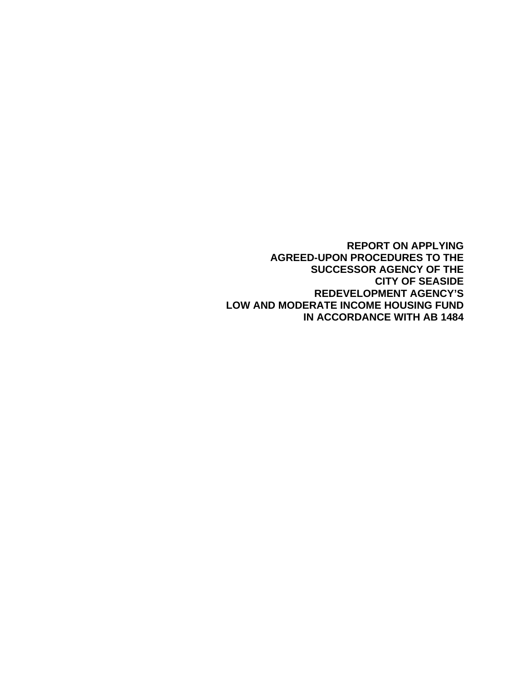**REPORT ON APPLYING AGREED-UPON PROCEDURES TO THE SUCCESSOR AGENCY OF THE CITY OF SEASIDE REDEVELOPMENT AGENCY'S LOW AND MODERATE INCOME HOUSING FUND IN ACCORDANCE WITH AB 1484**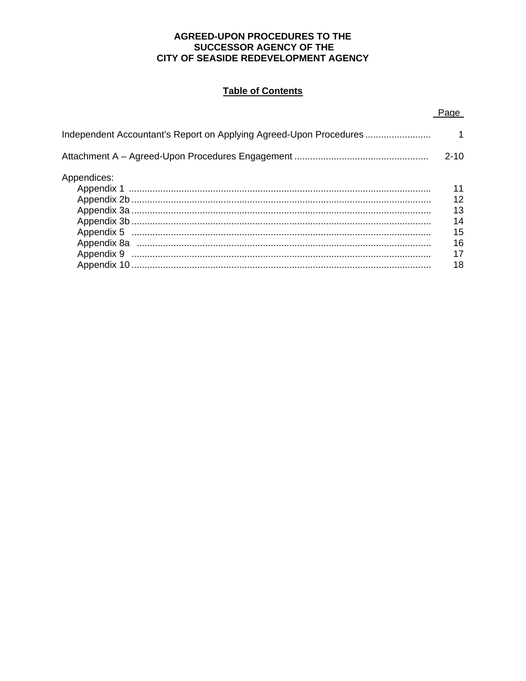## AGREED-UPON PROCEDURES TO THE SUCCESSOR AGENCY OF THE CITY OF SEASIDE REDEVELOPMENT AGENCY

## **Table of Contents**

| Independent Accountant's Report on Applying Agreed-Upon Procedures |                |
|--------------------------------------------------------------------|----------------|
|                                                                    | $2 - 10$       |
| Appendices:                                                        | 11             |
|                                                                    | 12<br>13<br>14 |
|                                                                    | 15             |
|                                                                    | 16<br>17       |
|                                                                    | 18             |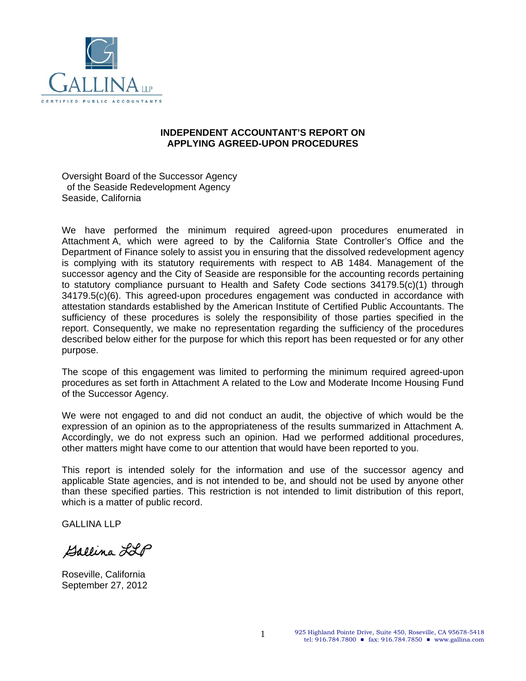

#### **INDEPENDENT ACCOUNTANT'S REPORT ON APPLYING AGREED-UPON PROCEDURES**

Oversight Board of the Successor Agency of the Seaside Redevelopment Agency Seaside, California

We have performed the minimum required agreed-upon procedures enumerated in Attachment A, which were agreed to by the California State Controller's Office and the Department of Finance solely to assist you in ensuring that the dissolved redevelopment agency is complying with its statutory requirements with respect to AB 1484. Management of the successor agency and the City of Seaside are responsible for the accounting records pertaining to statutory compliance pursuant to Health and Safety Code sections 34179.5(c)(1) through 34179.5(c)(6). This agreed-upon procedures engagement was conducted in accordance with attestation standards established by the American Institute of Certified Public Accountants. The sufficiency of these procedures is solely the responsibility of those parties specified in the report. Consequently, we make no representation regarding the sufficiency of the procedures described below either for the purpose for which this report has been requested or for any other purpose.

The scope of this engagement was limited to performing the minimum required agreed-upon procedures as set forth in Attachment A related to the Low and Moderate Income Housing Fund of the Successor Agency.

We were not engaged to and did not conduct an audit, the objective of which would be the expression of an opinion as to the appropriateness of the results summarized in Attachment A. Accordingly, we do not express such an opinion. Had we performed additional procedures, other matters might have come to our attention that would have been reported to you.

This report is intended solely for the information and use of the successor agency and applicable State agencies, and is not intended to be, and should not be used by anyone other than these specified parties. This restriction is not intended to limit distribution of this report, which is a matter of public record.

GALLINA LLP

Ballina LLP

Roseville, California September 27, 2012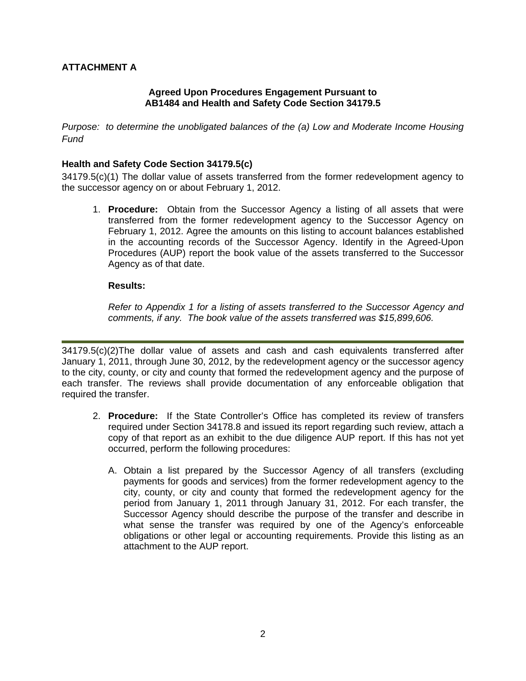## **Agreed Upon Procedures Engagement Pursuant to AB1484 and Health and Safety Code Section 34179.5**

*Purpose: to determine the unobligated balances of the (a) Low and Moderate Income Housing Fund* 

#### **Health and Safety Code Section 34179.5(c)**

34179.5(c)(1) The dollar value of assets transferred from the former redevelopment agency to the successor agency on or about February 1, 2012.

1. **Procedure:** Obtain from the Successor Agency a listing of all assets that were transferred from the former redevelopment agency to the Successor Agency on February 1, 2012. Agree the amounts on this listing to account balances established in the accounting records of the Successor Agency. Identify in the Agreed-Upon Procedures (AUP) report the book value of the assets transferred to the Successor Agency as of that date.

#### **Results:**

*Refer to Appendix 1 for a listing of assets transferred to the Successor Agency and comments, if any. The book value of the assets transferred was \$15,899,606.* 

34179.5(c)(2)The dollar value of assets and cash and cash equivalents transferred after January 1, 2011, through June 30, 2012, by the redevelopment agency or the successor agency to the city, county, or city and county that formed the redevelopment agency and the purpose of each transfer. The reviews shall provide documentation of any enforceable obligation that required the transfer.

- 2. **Procedure:** If the State Controller's Office has completed its review of transfers required under Section 34178.8 and issued its report regarding such review, attach a copy of that report as an exhibit to the due diligence AUP report. If this has not yet occurred, perform the following procedures:
	- A. Obtain a list prepared by the Successor Agency of all transfers (excluding payments for goods and services) from the former redevelopment agency to the city, county, or city and county that formed the redevelopment agency for the period from January 1, 2011 through January 31, 2012. For each transfer, the Successor Agency should describe the purpose of the transfer and describe in what sense the transfer was required by one of the Agency's enforceable obligations or other legal or accounting requirements. Provide this listing as an attachment to the AUP report.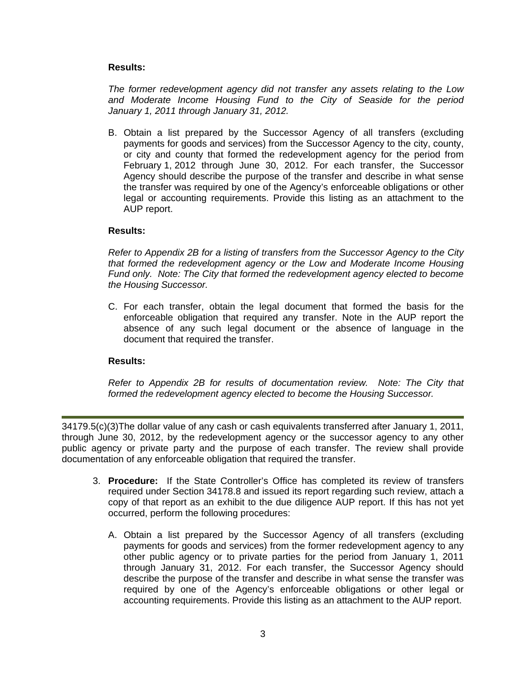*The former redevelopment agency did not transfer any assets relating to the Low and Moderate Income Housing Fund to the City of Seaside for the period January 1, 2011 through January 31, 2012.* 

B. Obtain a list prepared by the Successor Agency of all transfers (excluding payments for goods and services) from the Successor Agency to the city, county, or city and county that formed the redevelopment agency for the period from February 1, 2012 through June 30, 2012. For each transfer, the Successor Agency should describe the purpose of the transfer and describe in what sense the transfer was required by one of the Agency's enforceable obligations or other legal or accounting requirements. Provide this listing as an attachment to the AUP report.

#### **Results:**

*Refer to Appendix 2B for a listing of transfers from the Successor Agency to the City that formed the redevelopment agency or the Low and Moderate Income Housing Fund only. Note: The City that formed the redevelopment agency elected to become the Housing Successor.* 

C. For each transfer, obtain the legal document that formed the basis for the enforceable obligation that required any transfer. Note in the AUP report the absence of any such legal document or the absence of language in the document that required the transfer.

#### **Results:**

*Refer to Appendix 2B for results of documentation review. Note: The City that formed the redevelopment agency elected to become the Housing Successor.* 

34179.5(c)(3)The dollar value of any cash or cash equivalents transferred after January 1, 2011, through June 30, 2012, by the redevelopment agency or the successor agency to any other public agency or private party and the purpose of each transfer. The review shall provide documentation of any enforceable obligation that required the transfer.

- 3. **Procedure:** If the State Controller's Office has completed its review of transfers required under Section 34178.8 and issued its report regarding such review, attach a copy of that report as an exhibit to the due diligence AUP report. If this has not yet occurred, perform the following procedures:
	- A. Obtain a list prepared by the Successor Agency of all transfers (excluding payments for goods and services) from the former redevelopment agency to any other public agency or to private parties for the period from January 1, 2011 through January 31, 2012. For each transfer, the Successor Agency should describe the purpose of the transfer and describe in what sense the transfer was required by one of the Agency's enforceable obligations or other legal or accounting requirements. Provide this listing as an attachment to the AUP report.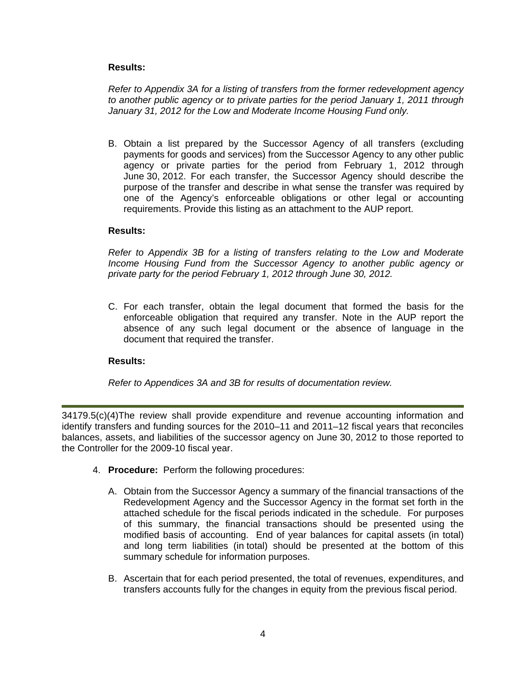*Refer to Appendix 3A for a listing of transfers from the former redevelopment agency to another public agency or to private parties for the period January 1, 2011 through January 31, 2012 for the Low and Moderate Income Housing Fund only.* 

B. Obtain a list prepared by the Successor Agency of all transfers (excluding payments for goods and services) from the Successor Agency to any other public agency or private parties for the period from February 1, 2012 through June 30, 2012. For each transfer, the Successor Agency should describe the purpose of the transfer and describe in what sense the transfer was required by one of the Agency's enforceable obligations or other legal or accounting requirements. Provide this listing as an attachment to the AUP report.

#### **Results:**

*Refer to Appendix 3B for a listing of transfers relating to the Low and Moderate Income Housing Fund from the Successor Agency to another public agency or private party for the period February 1, 2012 through June 30, 2012.* 

C. For each transfer, obtain the legal document that formed the basis for the enforceable obligation that required any transfer. Note in the AUP report the absence of any such legal document or the absence of language in the document that required the transfer.

## **Results:**

*Refer to Appendices 3A and 3B for results of documentation review.* 

34179.5(c)(4)The review shall provide expenditure and revenue accounting information and identify transfers and funding sources for the 2010–11 and 2011–12 fiscal years that reconciles balances, assets, and liabilities of the successor agency on June 30, 2012 to those reported to the Controller for the 2009-10 fiscal year.

- 4. **Procedure:** Perform the following procedures:
	- A. Obtain from the Successor Agency a summary of the financial transactions of the Redevelopment Agency and the Successor Agency in the format set forth in the attached schedule for the fiscal periods indicated in the schedule. For purposes of this summary, the financial transactions should be presented using the modified basis of accounting. End of year balances for capital assets (in total) and long term liabilities (in total) should be presented at the bottom of this summary schedule for information purposes.
	- B. Ascertain that for each period presented, the total of revenues, expenditures, and transfers accounts fully for the changes in equity from the previous fiscal period.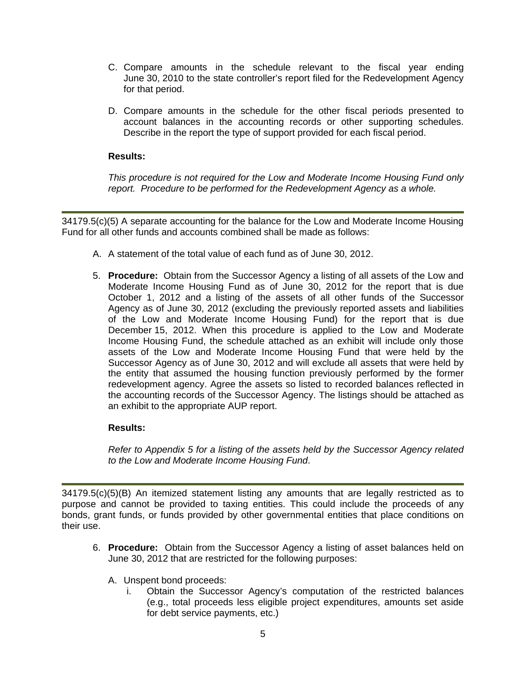- C. Compare amounts in the schedule relevant to the fiscal year ending June 30, 2010 to the state controller's report filed for the Redevelopment Agency for that period.
- D. Compare amounts in the schedule for the other fiscal periods presented to account balances in the accounting records or other supporting schedules. Describe in the report the type of support provided for each fiscal period.

*This procedure is not required for the Low and Moderate Income Housing Fund only report. Procedure to be performed for the Redevelopment Agency as a whole.*

34179.5(c)(5) A separate accounting for the balance for the Low and Moderate Income Housing Fund for all other funds and accounts combined shall be made as follows:

- A. A statement of the total value of each fund as of June 30, 2012.
- 5. **Procedure:** Obtain from the Successor Agency a listing of all assets of the Low and Moderate Income Housing Fund as of June 30, 2012 for the report that is due October 1, 2012 and a listing of the assets of all other funds of the Successor Agency as of June 30, 2012 (excluding the previously reported assets and liabilities of the Low and Moderate Income Housing Fund) for the report that is due December 15, 2012. When this procedure is applied to the Low and Moderate Income Housing Fund, the schedule attached as an exhibit will include only those assets of the Low and Moderate Income Housing Fund that were held by the Successor Agency as of June 30, 2012 and will exclude all assets that were held by the entity that assumed the housing function previously performed by the former redevelopment agency. Agree the assets so listed to recorded balances reflected in the accounting records of the Successor Agency. The listings should be attached as an exhibit to the appropriate AUP report.

## **Results:**

*Refer to Appendix 5 for a listing of the assets held by the Successor Agency related to the Low and Moderate Income Housing Fund*.

34179.5(c)(5)(B) An itemized statement listing any amounts that are legally restricted as to purpose and cannot be provided to taxing entities. This could include the proceeds of any bonds, grant funds, or funds provided by other governmental entities that place conditions on their use.

- 6. **Procedure:** Obtain from the Successor Agency a listing of asset balances held on June 30, 2012 that are restricted for the following purposes:
	- A. Unspent bond proceeds:
		- i. Obtain the Successor Agency's computation of the restricted balances (e.g., total proceeds less eligible project expenditures, amounts set aside for debt service payments, etc.)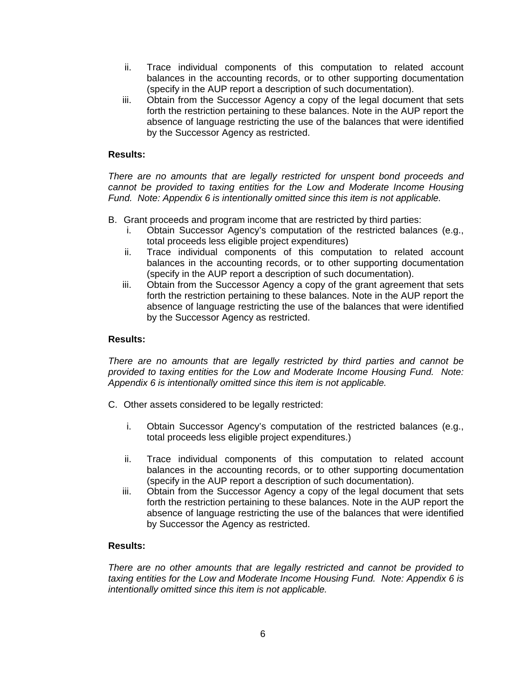- ii. Trace individual components of this computation to related account balances in the accounting records, or to other supporting documentation (specify in the AUP report a description of such documentation).
- iii. Obtain from the Successor Agency a copy of the legal document that sets forth the restriction pertaining to these balances. Note in the AUP report the absence of language restricting the use of the balances that were identified by the Successor Agency as restricted.

*There are no amounts that are legally restricted for unspent bond proceeds and cannot be provided to taxing entities for the Low and Moderate Income Housing Fund. Note: Appendix 6 is intentionally omitted since this item is not applicable.* 

- B. Grant proceeds and program income that are restricted by third parties:
	- i. Obtain Successor Agency's computation of the restricted balances (e.g., total proceeds less eligible project expenditures)
	- ii. Trace individual components of this computation to related account balances in the accounting records, or to other supporting documentation (specify in the AUP report a description of such documentation).
	- iii. Obtain from the Successor Agency a copy of the grant agreement that sets forth the restriction pertaining to these balances. Note in the AUP report the absence of language restricting the use of the balances that were identified by the Successor Agency as restricted.

#### **Results:**

*There are no amounts that are legally restricted by third parties and cannot be provided to taxing entities for the Low and Moderate Income Housing Fund. Note: Appendix 6 is intentionally omitted since this item is not applicable.* 

- C. Other assets considered to be legally restricted:
	- i. Obtain Successor Agency's computation of the restricted balances (e.g., total proceeds less eligible project expenditures.)
	- ii. Trace individual components of this computation to related account balances in the accounting records, or to other supporting documentation (specify in the AUP report a description of such documentation).
	- iii. Obtain from the Successor Agency a copy of the legal document that sets forth the restriction pertaining to these balances. Note in the AUP report the absence of language restricting the use of the balances that were identified by Successor the Agency as restricted.

#### **Results:**

*There are no other amounts that are legally restricted and cannot be provided to taxing entities for the Low and Moderate Income Housing Fund. Note: Appendix 6 is intentionally omitted since this item is not applicable.*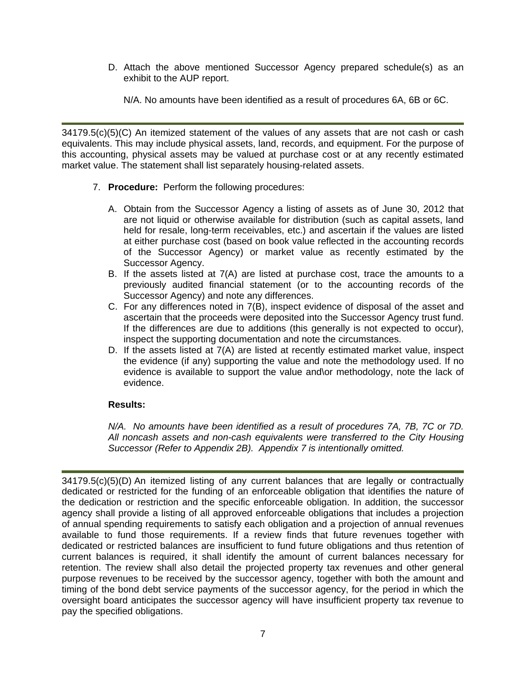D. Attach the above mentioned Successor Agency prepared schedule(s) as an exhibit to the AUP report.

N/A. No amounts have been identified as a result of procedures 6A, 6B or 6C.

34179.5(c)(5)(C) An itemized statement of the values of any assets that are not cash or cash equivalents. This may include physical assets, land, records, and equipment. For the purpose of this accounting, physical assets may be valued at purchase cost or at any recently estimated market value. The statement shall list separately housing-related assets.

- 7. **Procedure:** Perform the following procedures:
	- A. Obtain from the Successor Agency a listing of assets as of June 30, 2012 that are not liquid or otherwise available for distribution (such as capital assets, land held for resale, long-term receivables, etc.) and ascertain if the values are listed at either purchase cost (based on book value reflected in the accounting records of the Successor Agency) or market value as recently estimated by the Successor Agency.
	- B. If the assets listed at  $7(A)$  are listed at purchase cost, trace the amounts to a previously audited financial statement (or to the accounting records of the Successor Agency) and note any differences.
	- C. For any differences noted in 7(B), inspect evidence of disposal of the asset and ascertain that the proceeds were deposited into the Successor Agency trust fund. If the differences are due to additions (this generally is not expected to occur), inspect the supporting documentation and note the circumstances.
	- D. If the assets listed at 7(A) are listed at recently estimated market value, inspect the evidence (if any) supporting the value and note the methodology used. If no evidence is available to support the value and\or methodology, note the lack of evidence.

## **Results:**

*N/A. No amounts have been identified as a result of procedures 7A, 7B, 7C or 7D. All noncash assets and non-cash equivalents were transferred to the City Housing Successor (Refer to Appendix 2B). Appendix 7 is intentionally omitted.* 

34179.5(c)(5)(D) An itemized listing of any current balances that are legally or contractually dedicated or restricted for the funding of an enforceable obligation that identifies the nature of the dedication or restriction and the specific enforceable obligation. In addition, the successor agency shall provide a listing of all approved enforceable obligations that includes a projection of annual spending requirements to satisfy each obligation and a projection of annual revenues available to fund those requirements. If a review finds that future revenues together with dedicated or restricted balances are insufficient to fund future obligations and thus retention of current balances is required, it shall identify the amount of current balances necessary for retention. The review shall also detail the projected property tax revenues and other general purpose revenues to be received by the successor agency, together with both the amount and timing of the bond debt service payments of the successor agency, for the period in which the oversight board anticipates the successor agency will have insufficient property tax revenue to pay the specified obligations.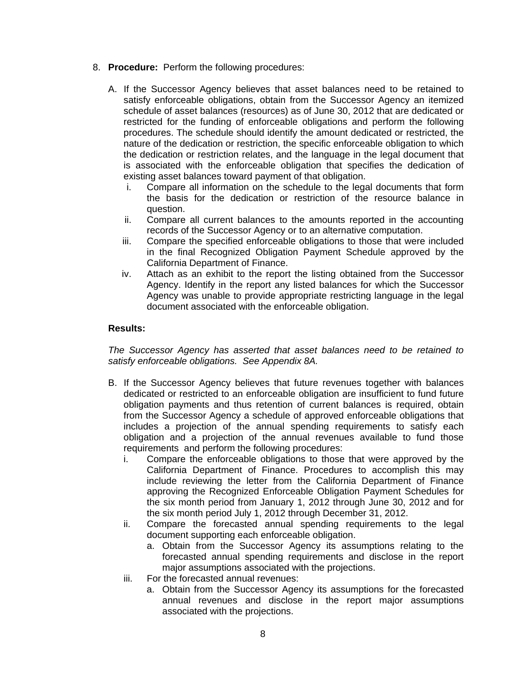- 8. **Procedure:** Perform the following procedures:
	- A. If the Successor Agency believes that asset balances need to be retained to satisfy enforceable obligations, obtain from the Successor Agency an itemized schedule of asset balances (resources) as of June 30, 2012 that are dedicated or restricted for the funding of enforceable obligations and perform the following procedures. The schedule should identify the amount dedicated or restricted, the nature of the dedication or restriction, the specific enforceable obligation to which the dedication or restriction relates, and the language in the legal document that is associated with the enforceable obligation that specifies the dedication of existing asset balances toward payment of that obligation.
		- i. Compare all information on the schedule to the legal documents that form the basis for the dedication or restriction of the resource balance in question.
		- ii. Compare all current balances to the amounts reported in the accounting records of the Successor Agency or to an alternative computation.
		- iii. Compare the specified enforceable obligations to those that were included in the final Recognized Obligation Payment Schedule approved by the California Department of Finance.
		- iv. Attach as an exhibit to the report the listing obtained from the Successor Agency. Identify in the report any listed balances for which the Successor Agency was unable to provide appropriate restricting language in the legal document associated with the enforceable obligation.

*The Successor Agency has asserted that asset balances need to be retained to satisfy enforceable obligations. See Appendix 8A.*

- B. If the Successor Agency believes that future revenues together with balances dedicated or restricted to an enforceable obligation are insufficient to fund future obligation payments and thus retention of current balances is required, obtain from the Successor Agency a schedule of approved enforceable obligations that includes a projection of the annual spending requirements to satisfy each obligation and a projection of the annual revenues available to fund those requirements and perform the following procedures:
	- i. Compare the enforceable obligations to those that were approved by the California Department of Finance. Procedures to accomplish this may include reviewing the letter from the California Department of Finance approving the Recognized Enforceable Obligation Payment Schedules for the six month period from January 1, 2012 through June 30, 2012 and for the six month period July 1, 2012 through December 31, 2012.
	- ii. Compare the forecasted annual spending requirements to the legal document supporting each enforceable obligation.
		- a. Obtain from the Successor Agency its assumptions relating to the forecasted annual spending requirements and disclose in the report major assumptions associated with the projections.
	- iii. For the forecasted annual revenues:
		- a. Obtain from the Successor Agency its assumptions for the forecasted annual revenues and disclose in the report major assumptions associated with the projections.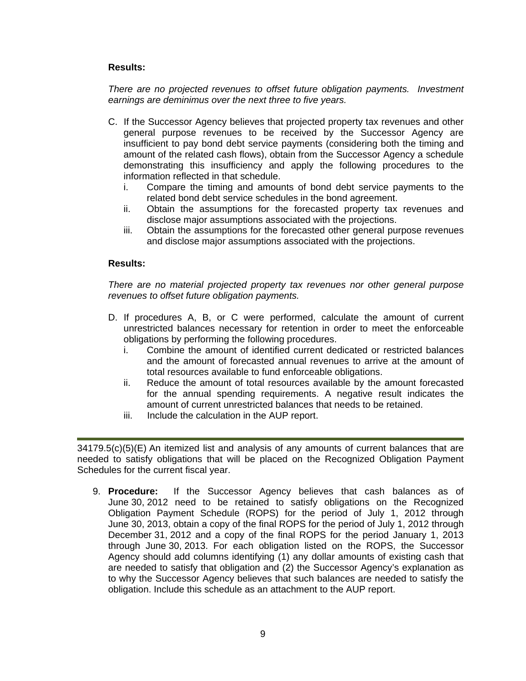*There are no projected revenues to offset future obligation payments. Investment earnings are deminimus over the next three to five years.* 

- C. If the Successor Agency believes that projected property tax revenues and other general purpose revenues to be received by the Successor Agency are insufficient to pay bond debt service payments (considering both the timing and amount of the related cash flows), obtain from the Successor Agency a schedule demonstrating this insufficiency and apply the following procedures to the information reflected in that schedule.
	- i. Compare the timing and amounts of bond debt service payments to the related bond debt service schedules in the bond agreement.
	- ii. Obtain the assumptions for the forecasted property tax revenues and disclose major assumptions associated with the projections.
	- iii. Obtain the assumptions for the forecasted other general purpose revenues and disclose major assumptions associated with the projections.

## **Results:**

*There are no material projected property tax revenues nor other general purpose revenues to offset future obligation payments.* 

- D. If procedures A, B, or C were performed, calculate the amount of current unrestricted balances necessary for retention in order to meet the enforceable obligations by performing the following procedures.
	- i. Combine the amount of identified current dedicated or restricted balances and the amount of forecasted annual revenues to arrive at the amount of total resources available to fund enforceable obligations.
	- ii. Reduce the amount of total resources available by the amount forecasted for the annual spending requirements. A negative result indicates the amount of current unrestricted balances that needs to be retained.
	- iii. Include the calculation in the AUP report.

34179.5(c)(5)(E) An itemized list and analysis of any amounts of current balances that are needed to satisfy obligations that will be placed on the Recognized Obligation Payment Schedules for the current fiscal year.

9. **Procedure:** If the Successor Agency believes that cash balances as of June 30, 2012 need to be retained to satisfy obligations on the Recognized Obligation Payment Schedule (ROPS) for the period of July 1, 2012 through June 30, 2013, obtain a copy of the final ROPS for the period of July 1, 2012 through December 31, 2012 and a copy of the final ROPS for the period January 1, 2013 through June 30, 2013. For each obligation listed on the ROPS, the Successor Agency should add columns identifying (1) any dollar amounts of existing cash that are needed to satisfy that obligation and (2) the Successor Agency's explanation as to why the Successor Agency believes that such balances are needed to satisfy the obligation. Include this schedule as an attachment to the AUP report.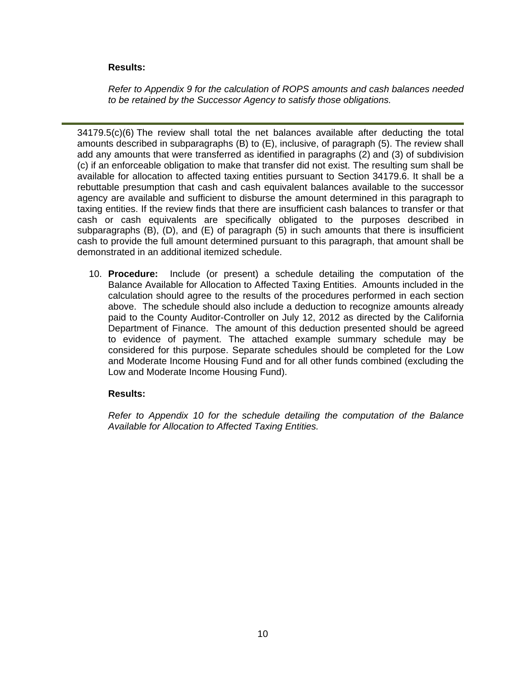*Refer to Appendix 9 for the calculation of ROPS amounts and cash balances needed to be retained by the Successor Agency to satisfy those obligations.* 

34179.5(c)(6) The review shall total the net balances available after deducting the total amounts described in subparagraphs (B) to (E), inclusive, of paragraph (5). The review shall add any amounts that were transferred as identified in paragraphs (2) and (3) of subdivision (c) if an enforceable obligation to make that transfer did not exist. The resulting sum shall be available for allocation to affected taxing entities pursuant to Section 34179.6. It shall be a rebuttable presumption that cash and cash equivalent balances available to the successor agency are available and sufficient to disburse the amount determined in this paragraph to taxing entities. If the review finds that there are insufficient cash balances to transfer or that cash or cash equivalents are specifically obligated to the purposes described in subparagraphs (B), (D), and (E) of paragraph (5) in such amounts that there is insufficient cash to provide the full amount determined pursuant to this paragraph, that amount shall be demonstrated in an additional itemized schedule.

10. **Procedure:** Include (or present) a schedule detailing the computation of the Balance Available for Allocation to Affected Taxing Entities. Amounts included in the calculation should agree to the results of the procedures performed in each section above. The schedule should also include a deduction to recognize amounts already paid to the County Auditor-Controller on July 12, 2012 as directed by the California Department of Finance. The amount of this deduction presented should be agreed to evidence of payment. The attached example summary schedule may be considered for this purpose. Separate schedules should be completed for the Low and Moderate Income Housing Fund and for all other funds combined (excluding the Low and Moderate Income Housing Fund).

## **Results:**

*Refer to Appendix 10 for the schedule detailing the computation of the Balance Available for Allocation to Affected Taxing Entities.*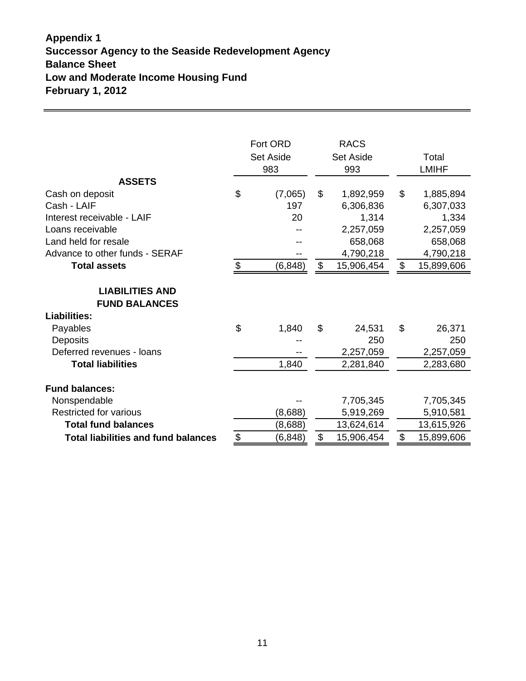# **Appendix 1 Successor Agency to the Seaside Redevelopment Agency Balance Sheet Low and Moderate Income Housing Fund February 1, 2012**

|                                                                                                                                                                                    | Fort ORD<br><b>Set Aside</b><br>983 |                                  |          | <b>RACS</b><br><b>Set Aside</b><br>993                                             |          | Total<br><b>LMIHF</b>                                                              |
|------------------------------------------------------------------------------------------------------------------------------------------------------------------------------------|-------------------------------------|----------------------------------|----------|------------------------------------------------------------------------------------|----------|------------------------------------------------------------------------------------|
| <b>ASSETS</b><br>Cash on deposit<br>Cash - LAIF<br>Interest receivable - LAIF<br>Loans receivable<br>Land held for resale<br>Advance to other funds - SERAF<br><b>Total assets</b> | \$<br>$\frac{1}{2}$                 | (7,065)<br>197<br>20<br>(6, 848) | \$<br>\$ | 1,892,959<br>6,306,836<br>1,314<br>2,257,059<br>658,068<br>4,790,218<br>15,906,454 | \$<br>\$ | 1,885,894<br>6,307,033<br>1,334<br>2,257,059<br>658,068<br>4,790,218<br>15,899,606 |
| <b>LIABILITIES AND</b><br><b>FUND BALANCES</b>                                                                                                                                     |                                     |                                  |          |                                                                                    |          |                                                                                    |
| <b>Liabilities:</b><br>Payables<br><b>Deposits</b><br>Deferred revenues - loans<br><b>Total liabilities</b>                                                                        | \$                                  | 1,840<br>1,840                   | \$       | 24,531<br>250<br>2,257,059<br>2,281,840                                            | \$       | 26,371<br>250<br>2,257,059<br>2,283,680                                            |
| <b>Fund balances:</b><br>Nonspendable<br><b>Restricted for various</b><br><b>Total fund balances</b><br><b>Total liabilities and fund balances</b>                                 | \$                                  | (8,688)<br>(8,688)<br>(6, 848)   | \$       | 7,705,345<br>5,919,269<br>13,624,614<br>15,906,454                                 | \$       | 7,705,345<br>5,910,581<br>13,615,926<br>15,899,606                                 |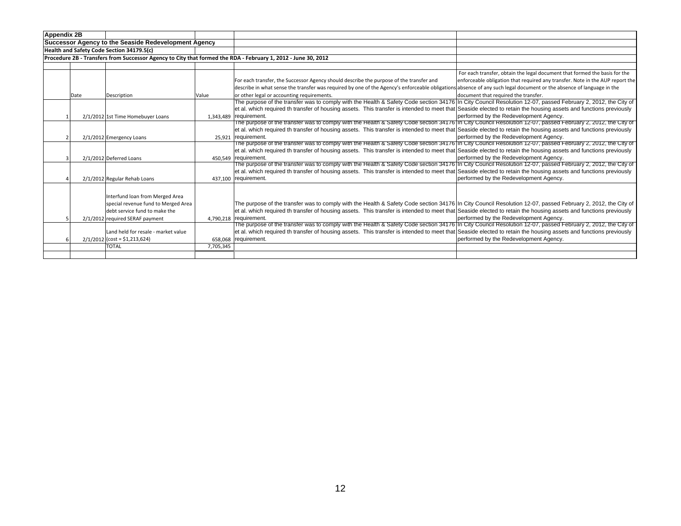| <b>Appendix 2B</b> |      |                                                                                                                                            |           |                                                                                                                                                                                                                                                                                                                                                               |                                                                                                                                                             |
|--------------------|------|--------------------------------------------------------------------------------------------------------------------------------------------|-----------|---------------------------------------------------------------------------------------------------------------------------------------------------------------------------------------------------------------------------------------------------------------------------------------------------------------------------------------------------------------|-------------------------------------------------------------------------------------------------------------------------------------------------------------|
|                    |      | Successor Agency to the Seaside Redevelopment Agency                                                                                       |           |                                                                                                                                                                                                                                                                                                                                                               |                                                                                                                                                             |
|                    |      | Health and Safety Code Section 34179.5(c)                                                                                                  |           |                                                                                                                                                                                                                                                                                                                                                               |                                                                                                                                                             |
|                    |      |                                                                                                                                            |           | Procedure 2B - Transfers from Successor Agency to City that formed the RDA - February 1, 2012 - June 30, 2012                                                                                                                                                                                                                                                 |                                                                                                                                                             |
|                    |      |                                                                                                                                            |           |                                                                                                                                                                                                                                                                                                                                                               |                                                                                                                                                             |
|                    |      |                                                                                                                                            |           | For each transfer, the Successor Agency should describe the purpose of the transfer and<br>describe in what sense the transfer was required by one of the Agency's enforceable obligations absence of any such legal document or the absence of language in the                                                                                               | For each transfer, obtain the legal document that formed the basis for the<br>enforceable obligation that required any transfer. Note in the AUP report the |
|                    | Date | Description                                                                                                                                | Value     | or other legal or accounting requirements.                                                                                                                                                                                                                                                                                                                    | document that required the transfer.                                                                                                                        |
|                    |      | 2/1/2012 1st Time Homebuyer Loans                                                                                                          |           | The purpose of the transfer was to comply with the Health & Safety Code section 34176 In City Council Resolution 12-07, passed February 2, 2012, the City of<br>et al. which required th transfer of housing assets. This transfer is intended to meet that Seaside elected to retain the housing assets and functions previously<br>1,343,489   requirement. | performed by the Redevelopment Agency.                                                                                                                      |
|                    |      | 2/1/2012 Emergency Loans                                                                                                                   |           | The purpose of the transfer was to comply with the Health & Safety Code section 34176 In City Council Resolution 12-07, passed February 2, 2012, the City of<br>et al. which required th transfer of housing assets. This transfer is intended to meet that Seaside elected to retain the housing assets and functions previously<br>25.921 requirement.      | performed by the Redevelopment Agency.                                                                                                                      |
|                    |      | 2/1/2012 Deferred Loans                                                                                                                    |           | The purpose of the transfer was to comply with the Health & Safety Code section 34176 In City Council Resolution 12-07, passed February 2, 2012, the City of<br>et al. which required th transfer of housing assets. This transfer is intended to meet that Seaside elected to retain the housing assets and functions previously<br>450.549 requirement.     | performed by the Redevelopment Agency.                                                                                                                      |
|                    |      | 2/1/2012 Regular Rehab Loans                                                                                                               |           | The purpose of the transfer was to comply with the Health & Safety Code section 34176 In City Council Resolution 12-07, passed February 2, 2012, the City of<br>et al. which required th transfer of housing assets. This transfer is intended to meet that Seaside elected to retain the housing assets and functions previously<br>437.100 requirement.     | performed by the Redevelopment Agency.                                                                                                                      |
|                    |      | Interfund Ioan from Merged Area<br>special revenue fund to Merged Area<br>debt service fund to make the<br>2/1/2012 required SERAF payment |           | The purpose of the transfer was to comply with the Health & Safety Code section 34176 In City Council Resolution 12-07, passed February 2, 2012, the City of<br>et al. which required th transfer of housing assets. This transfer is intended to meet that Seaside elected to retain the housing assets and functions previously<br>4.790.218 requirement.   | performed by the Redevelopment Agency.                                                                                                                      |
|                    |      | Land held for resale - market value<br>$2/1/2012$ (cost = \$1,213,624)<br><b>TOTAL</b>                                                     | 7,705,345 | The purpose of the transfer was to comply with the Health & Safety Code section 34176 in City Council Resolution 12-07, passed February 2, 2012, the City of<br>et al. which required th transfer of housing assets. This transfer is intended to meet that Seaside elected to retain the housing assets and functions previously<br>658.068 requirement.     | performed by the Redevelopment Agency.                                                                                                                      |
|                    |      |                                                                                                                                            |           |                                                                                                                                                                                                                                                                                                                                                               |                                                                                                                                                             |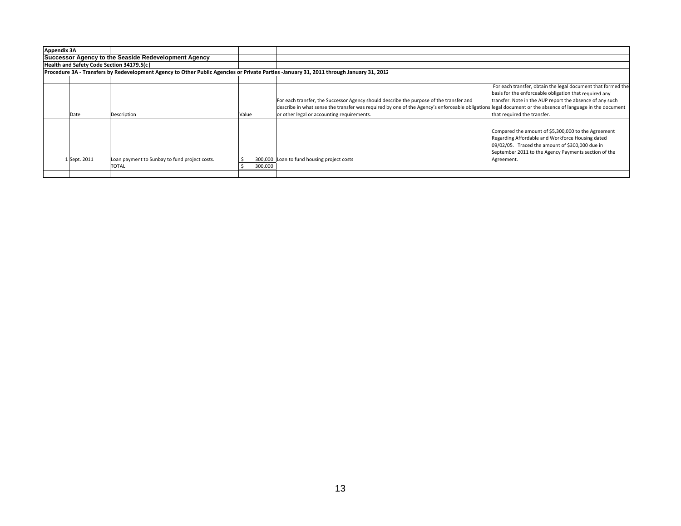| <b>Appendix 3A</b> |              |                                                                                                                                         |       |         |                                                                                                                                                                                                                                                                                                    |                                                                                                                                                                                                                                  |
|--------------------|--------------|-----------------------------------------------------------------------------------------------------------------------------------------|-------|---------|----------------------------------------------------------------------------------------------------------------------------------------------------------------------------------------------------------------------------------------------------------------------------------------------------|----------------------------------------------------------------------------------------------------------------------------------------------------------------------------------------------------------------------------------|
|                    |              | Successor Agency to the Seaside Redevelopment Agency                                                                                    |       |         |                                                                                                                                                                                                                                                                                                    |                                                                                                                                                                                                                                  |
|                    |              | Health and Safety Code Section 34179.5(c)                                                                                               |       |         |                                                                                                                                                                                                                                                                                                    |                                                                                                                                                                                                                                  |
|                    |              | Procedure 3A - Transfers by Redevelopment Agency to Other Public Agencies or Private Parties -January 31, 2011 through January 31, 2012 |       |         |                                                                                                                                                                                                                                                                                                    |                                                                                                                                                                                                                                  |
|                    |              |                                                                                                                                         |       |         |                                                                                                                                                                                                                                                                                                    |                                                                                                                                                                                                                                  |
|                    | Date         | Description                                                                                                                             | Value |         | For each transfer, the Successor Agency should describe the purpose of the transfer and<br>describe in what sense the transfer was required by one of the Agency's enforceable obligations legal document or the absence of language in the document<br>or other legal or accounting requirements. | For each transfer, obtain the legal document that formed the<br>basis for the enforceable obligation that required any<br>transfer. Note in the AUP report the absence of any such<br>that required the transfer.                |
|                    | 1 Sept. 2011 | Loan payment to Sunbay to fund project costs.                                                                                           |       |         | 300,000 Loan to fund housing project costs                                                                                                                                                                                                                                                         | Compared the amount of \$5,300,000 to the Agreement<br>Regarding Affordable and Workforce Housing dated<br>09/02/05. Traced the amount of \$300,000 due in<br>September 2011 to the Agency Payments section of the<br>Agreement. |
|                    |              | <b>TOTAL</b>                                                                                                                            |       | 300,000 |                                                                                                                                                                                                                                                                                                    |                                                                                                                                                                                                                                  |
|                    |              |                                                                                                                                         |       |         |                                                                                                                                                                                                                                                                                                    |                                                                                                                                                                                                                                  |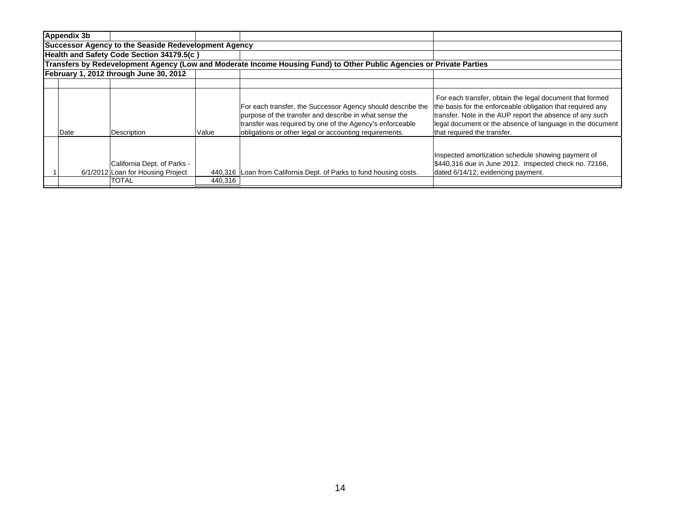| Appendix 3b                                                 |                                                                  |         |                                                                                                                                                                                                                                             |                                                                                                                                                                                                                                                                                |  |  |  |  |  |
|-------------------------------------------------------------|------------------------------------------------------------------|---------|---------------------------------------------------------------------------------------------------------------------------------------------------------------------------------------------------------------------------------------------|--------------------------------------------------------------------------------------------------------------------------------------------------------------------------------------------------------------------------------------------------------------------------------|--|--|--|--|--|
| <b>Successor Agency to the Seaside Redevelopment Agency</b> |                                                                  |         |                                                                                                                                                                                                                                             |                                                                                                                                                                                                                                                                                |  |  |  |  |  |
| Health and Safety Code Section 34179.5(c)                   |                                                                  |         |                                                                                                                                                                                                                                             |                                                                                                                                                                                                                                                                                |  |  |  |  |  |
|                                                             |                                                                  |         | Transfers by Redevelopment Agency (Low and Moderate Income Housing Fund) to Other Public Agencies or Private Parties                                                                                                                        |                                                                                                                                                                                                                                                                                |  |  |  |  |  |
|                                                             | February 1, 2012 through June 30, 2012                           |         |                                                                                                                                                                                                                                             |                                                                                                                                                                                                                                                                                |  |  |  |  |  |
|                                                             |                                                                  |         |                                                                                                                                                                                                                                             |                                                                                                                                                                                                                                                                                |  |  |  |  |  |
| Date                                                        | Description                                                      | Value   | For each transfer, the Successor Agency should describe the<br>purpose of the transfer and describe in what sense the<br>transfer was required by one of the Agency's enforceable<br>obligations or other legal or accounting requirements. | For each transfer, obtain the legal document that formed<br>the basis for the enforceable obligation that required any<br>transfer. Note in the AUP report the absence of any such<br>legal document or the absence of language in the document<br>that required the transfer. |  |  |  |  |  |
|                                                             | California Dept. of Parks -<br>6/1/2012 Loan for Housing Project |         | 440,316 Loan from California Dept. of Parks to fund housing costs.                                                                                                                                                                          | Inspected amortization schedule showing payment of<br>\$440,316 due in June 2012. Inspected check no. 72166,<br>dated 6/14/12, evidencing payment.                                                                                                                             |  |  |  |  |  |
|                                                             | <b>TOTAL</b>                                                     | 440,316 |                                                                                                                                                                                                                                             |                                                                                                                                                                                                                                                                                |  |  |  |  |  |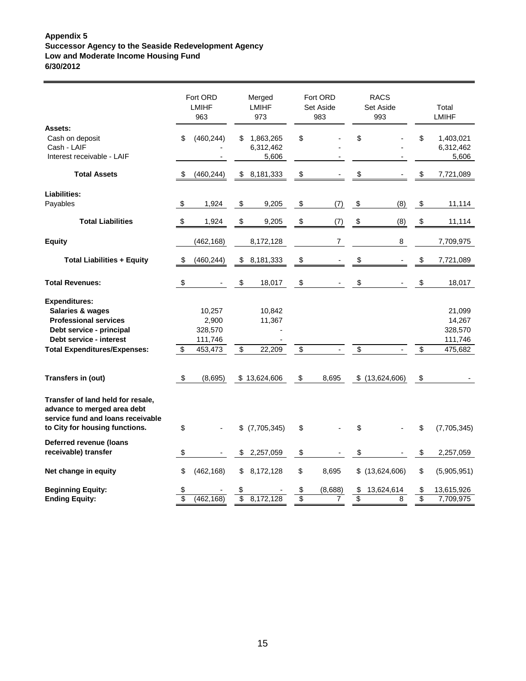#### **Appendix 5 Successor Agency to the Seaside Redevelopment Agency Low and Moderate Income Housing Fund 6/30/2012**

|                                                                                                                                                                        |          | Fort ORD<br><b>LMIHF</b><br>963                  |                          | Merged<br>LMIHF<br>973          |                         | Fort ORD<br>Set Aside<br>983 |          | <b>RACS</b><br>Set Aside<br>993 |          | Total<br><b>LMIHF</b>                             |
|------------------------------------------------------------------------------------------------------------------------------------------------------------------------|----------|--------------------------------------------------|--------------------------|---------------------------------|-------------------------|------------------------------|----------|---------------------------------|----------|---------------------------------------------------|
| Assets:<br>Cash on deposit<br>Cash - LAIF<br>Interest receivable - LAIF                                                                                                | \$       | (460, 244)                                       | \$                       | 1,863,265<br>6,312,462<br>5,606 | \$                      |                              | \$       |                                 | \$       | 1,403,021<br>6,312,462<br>5,606                   |
| <b>Total Assets</b>                                                                                                                                                    | \$       | (460, 244)                                       | \$                       | 8,181,333                       | \$                      |                              | \$       |                                 | \$       | 7,721,089                                         |
| Liabilities:<br>Payables                                                                                                                                               | \$       | 1,924                                            | \$                       | 9,205                           | \$                      | (7)                          | \$       | (8)                             | \$       | 11,114                                            |
| <b>Total Liabilities</b>                                                                                                                                               | \$       | 1,924                                            | \$                       | 9,205                           | \$                      | (7)                          | \$       | (8)                             | \$       | 11,114                                            |
| <b>Equity</b>                                                                                                                                                          |          | (462, 168)                                       |                          | 8,172,128                       |                         | $\overline{7}$               |          | 8                               |          | 7,709,975                                         |
| <b>Total Liabilities + Equity</b>                                                                                                                                      | \$       | (460, 244)                                       | \$                       | 8,181,333                       | \$                      |                              | \$       |                                 | \$       | 7,721,089                                         |
| <b>Total Revenues:</b>                                                                                                                                                 | $\$\$    |                                                  | \$                       | 18,017                          | \$                      |                              | \$       |                                 | \$       | 18,017                                            |
| <b>Expenditures:</b><br>Salaries & wages<br><b>Professional services</b><br>Debt service - principal<br>Debt service - interest<br><b>Total Expenditures/Expenses:</b> | \$       | 10,257<br>2,900<br>328,570<br>111,746<br>453,473 | $\overline{\mathcal{G}}$ | 10,842<br>11,367<br>22,209      | $\overline{\mathbf{e}}$ |                              | \$       |                                 | \$       | 21,099<br>14,267<br>328,570<br>111,746<br>475,682 |
| Transfers in (out)                                                                                                                                                     | \$       | (8,695)                                          |                          | \$13,624,606                    | \$                      | 8,695                        |          | $$$ (13,624,606)                | \$       |                                                   |
| Transfer of land held for resale,<br>advance to merged area debt<br>service fund and loans receivable<br>to City for housing functions.                                | \$       |                                                  | \$                       | (7,705,345)                     | \$                      |                              | \$       |                                 | \$       | (7,705,345)                                       |
| Deferred revenue (Ioans<br>receivable) transfer                                                                                                                        | \$       |                                                  | \$                       | 2,257,059                       | \$                      |                              | \$       |                                 | \$       | 2,257,059                                         |
| Net change in equity                                                                                                                                                   | \$       | (462, 168)                                       | \$                       | 8,172,128                       | \$                      | 8,695                        |          | $$$ (13,624,606)                | \$       | (5,905,951)                                       |
| <b>Beginning Equity:</b><br><b>Ending Equity:</b>                                                                                                                      | \$<br>\$ | (462, 168)                                       | \$<br>\$                 | 8,172,128                       | \$<br>$\overline{\$}$   | (8,688)<br>7                 | \$<br>\$ | 13,624,614<br>8                 | \$<br>\$ | 13,615,926<br>7,709,975                           |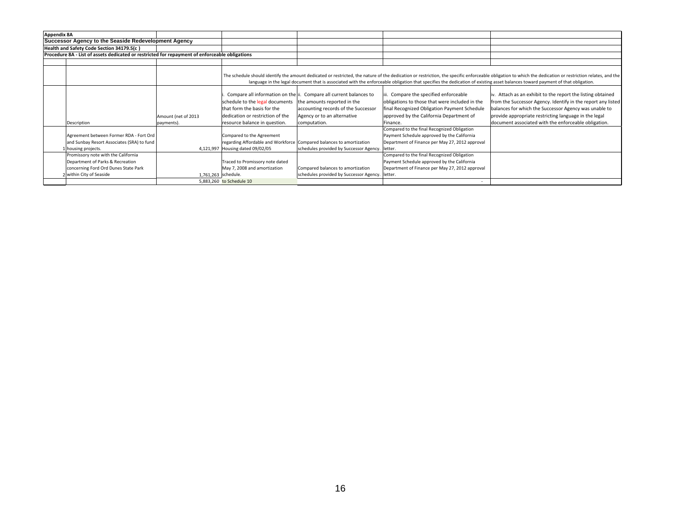| <b>Appendix 8A</b>                                                                                                                          |                                   |                                                                                                                                     |                                                                                                                                                                                         |                                                                                                                                                                                                  |                                                                                                                                                                                                                                                                                                                                                                                            |
|---------------------------------------------------------------------------------------------------------------------------------------------|-----------------------------------|-------------------------------------------------------------------------------------------------------------------------------------|-----------------------------------------------------------------------------------------------------------------------------------------------------------------------------------------|--------------------------------------------------------------------------------------------------------------------------------------------------------------------------------------------------|--------------------------------------------------------------------------------------------------------------------------------------------------------------------------------------------------------------------------------------------------------------------------------------------------------------------------------------------------------------------------------------------|
| Successor Agency to the Seaside Redevelopment Agency                                                                                        |                                   |                                                                                                                                     |                                                                                                                                                                                         |                                                                                                                                                                                                  |                                                                                                                                                                                                                                                                                                                                                                                            |
| Health and Safety Code Section 34179.5(c)                                                                                                   |                                   |                                                                                                                                     |                                                                                                                                                                                         |                                                                                                                                                                                                  |                                                                                                                                                                                                                                                                                                                                                                                            |
| Procedure 8A - List of assets dedicated or restricted for repayment of enforceable obligations                                              |                                   |                                                                                                                                     |                                                                                                                                                                                         |                                                                                                                                                                                                  |                                                                                                                                                                                                                                                                                                                                                                                            |
|                                                                                                                                             |                                   |                                                                                                                                     |                                                                                                                                                                                         |                                                                                                                                                                                                  |                                                                                                                                                                                                                                                                                                                                                                                            |
|                                                                                                                                             |                                   |                                                                                                                                     |                                                                                                                                                                                         |                                                                                                                                                                                                  | The schedule should identify the amount dedicated or restricted, the nature of the dedication or restriction, the specific enforceable obligation to which the dedication or restriction relates, and the<br>language in the legal document that is associated with the enforceable obligation that specifies the dedication of existing asset balances toward payment of that obligation. |
| Description                                                                                                                                 | Amount (net of 2013<br>payments). | schedule to the legal documents<br>that form the basis for the<br>dedication or restriction of the<br>resource balance in question. | Compare all information on the ii. Compare all current balances to<br>the amounts reported in the<br>accounting records of the Successor<br>Agency or to an alternative<br>computation. | iii. Compare the specified enforceable<br>obligations to those that were included in the<br>final Recognized Obligation Payment Schedule<br>approved by the California Department of<br>Finance. | iv. Attach as an exhibit to the report the listing obtained<br>from the Successor Agency. Identify in the report any listed<br>balances for which the Successor Agency was unable to<br>provide appropriate restricting language in the legal<br>document associated with the enforceable obligation.                                                                                      |
| Agreement between Former RDA - Fort Ord<br>and Sunbay Resort Associates (SRA) to fund<br>housing projects.                                  |                                   | Compared to the Agreement<br>4,121,997 Housing dated 09/02/05                                                                       | regarding Affordable and Workforce Compared balances to amortization<br>schedules provided by Successor Agency.                                                                         | Compared to the final Recognized Obligation<br>Payment Schedule approved by the California<br>Department of Finance per May 27, 2012 approval<br>letter.                                         |                                                                                                                                                                                                                                                                                                                                                                                            |
| Promissory note with the California<br>Department of Parks & Recreation<br>concerning Ford Ord Dunes State Park<br>2 within City of Seaside | 1,761,263 schedule.               | Traced to Promissory note dated<br>May 7, 2008 and amortization<br>5,883,260 to Schedule 10                                         | Compared balances to amortization<br>schedules provided by Successor Agency.   letter.                                                                                                  | Compared to the final Recognized Obligation<br>Payment Schedule approved by the California<br>Department of Finance per May 27, 2012 approval                                                    |                                                                                                                                                                                                                                                                                                                                                                                            |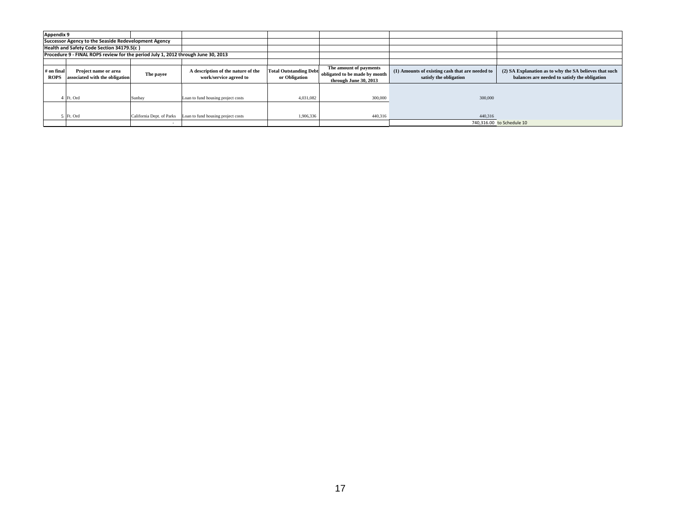| <b>Appendix 9</b>         |                                                                                   |                           |                                                              |                                                |                                                                                  |                                                                           |                                                                                                         |
|---------------------------|-----------------------------------------------------------------------------------|---------------------------|--------------------------------------------------------------|------------------------------------------------|----------------------------------------------------------------------------------|---------------------------------------------------------------------------|---------------------------------------------------------------------------------------------------------|
|                           | Successor Agency to the Seaside Redevelopment Agency                              |                           |                                                              |                                                |                                                                                  |                                                                           |                                                                                                         |
|                           | Health and Safety Code Section 34179.5(c)                                         |                           |                                                              |                                                |                                                                                  |                                                                           |                                                                                                         |
|                           | Procedure 9 - FINAL ROPS review for the period July 1, 2012 through June 30, 2013 |                           |                                                              |                                                |                                                                                  |                                                                           |                                                                                                         |
|                           |                                                                                   |                           |                                                              |                                                |                                                                                  |                                                                           |                                                                                                         |
| # on final<br><b>ROPS</b> | Project name or area<br>associated with the obligation                            | The payee                 | A description of the nature of the<br>work/service agreed to | <b>Total Outstanding Debt</b><br>or Obligation | The amount of payments<br>obligated to be made by month<br>through June 30, 2013 | (1) Amounts of existing cash that are needed to<br>satisfy the obligation | (2) SA Explanation as to why the SA believes that such<br>balances are needed to satisfy the obligation |
|                           | Ft. Ord                                                                           | Sunbay                    | Loan to fund housing project costs                           | 4.031.082                                      | 300,000                                                                          | 300,000                                                                   |                                                                                                         |
|                           | Ft. Ord                                                                           | California Dept. of Parks | Loan to fund housing project costs                           | 1,906,336                                      | 440,316                                                                          | 440,316                                                                   |                                                                                                         |
|                           |                                                                                   |                           |                                                              |                                                |                                                                                  |                                                                           | 740.316.00 to Schedule 10                                                                               |